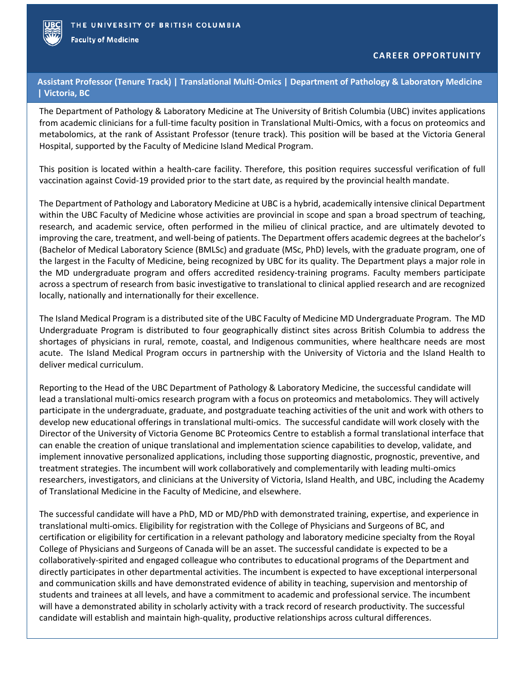

**Faculty of Medicine** 

**Assistant Professor (Tenure Track) | Translational Multi-Omics | Department of Pathology & Laboratory Medicine | Victoria, BC**

The Department of Pathology & Laboratory Medicine at The University of British Columbia (UBC) invites applications from academic clinicians for a full-time faculty position in Translational Multi-Omics, with a focus on proteomics and metabolomics, at the rank of Assistant Professor (tenure track). This position will be based at the Victoria General Hospital, supported by the Faculty of Medicine Island Medical Program.

This position is located within a health-care facility. Therefore, this position requires successful verification of full vaccination against Covid-19 provided prior to the start date, as required by the provincial health mandate.

The Department of Pathology and Laboratory Medicine at UBC is a hybrid, academically intensive clinical Department within the UBC Faculty of Medicine whose activities are provincial in scope and span a broad spectrum of teaching, research, and academic service, often performed in the milieu of clinical practice, and are ultimately devoted to improving the care, treatment, and well-being of patients. The Department offers academic degrees at the bachelor's (Bachelor of Medical Laboratory Science (BMLSc) and graduate (MSc, PhD) levels, with the graduate program, one of the largest in the Faculty of Medicine, being recognized by UBC for its quality. The Department plays a major role in the MD undergraduate program and offers accredited residency-training programs. Faculty members participate across a spectrum of research from basic investigative to translational to clinical applied research and are recognized locally, nationally and internationally for their excellence.

The Island Medical Program is a distributed site of the UBC Faculty of Medicine MD Undergraduate Program. The MD Undergraduate Program is distributed to four geographically distinct sites across British Columbia to address the shortages of physicians in rural, remote, coastal, and Indigenous communities, where healthcare needs are most acute. The Island Medical Program occurs in partnership with the University of Victoria and the Island Health to deliver medical curriculum.

Reporting to the Head of the UBC Department of Pathology & Laboratory Medicine, the successful candidate will lead a translational multi-omics research program with a focus on proteomics and metabolomics. They will actively participate in the undergraduate, graduate, and postgraduate teaching activities of the unit and work with others to develop new educational offerings in translational multi-omics. The successful candidate will work closely with the Director of the University of Victoria Genome BC Proteomics Centre to establish a formal translational interface that can enable the creation of unique translational and implementation science capabilities to develop, validate, and implement innovative personalized applications, including those supporting diagnostic, prognostic, preventive, and treatment strategies. The incumbent will work collaboratively and complementarily with leading multi-omics researchers, investigators, and clinicians at the University of Victoria, Island Health, and UBC, including the Academy of Translational Medicine in the Faculty of Medicine, and elsewhere.

The successful candidate will have a PhD, MD or MD/PhD with demonstrated training, expertise, and experience in translational multi-omics. Eligibility for registration with the College of Physicians and Surgeons of BC, and certification or eligibility for certification in a relevant pathology and laboratory medicine specialty from the Royal College of Physicians and Surgeons of Canada will be an asset. The successful candidate is expected to be a collaboratively-spirited and engaged colleague who contributes to educational programs of the Department and directly participates in other departmental activities. The incumbent is expected to have exceptional interpersonal and communication skills and have demonstrated evidence of ability in teaching, supervision and mentorship of students and trainees at all levels, and have a commitment to academic and professional service. The incumbent will have a demonstrated ability in scholarly activity with a track record of research productivity. The successful candidate will establish and maintain high-quality, productive relationships across cultural differences.